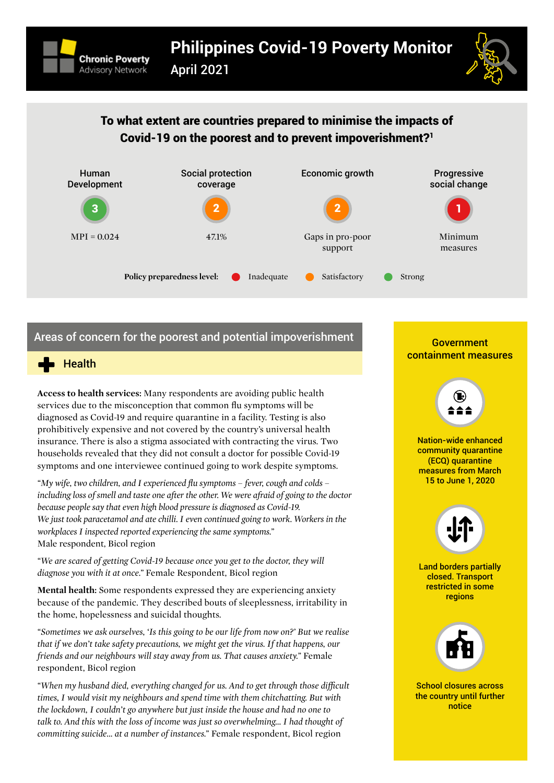

April 2021



# To what extent are countries prepared to minimise the impacts of Covid-[1](#page-4-0)9 on the poorest and to prevent impoverishment?<sup>1</sup>



# Areas of concern for the poorest and potential impoverishment



**Access to health services:** Many respondents are avoiding public health services due to the misconception that common flu symptoms will be diagnosed as Covid-19 and require quarantine in a facility. Testing is also prohibitively expensive and not covered by the country's universal health insurance. There is also a stigma associated with contracting the virus. Two households revealed that they did not consult a doctor for possible Covid-19 symptoms and one interviewee continued going to work despite symptoms.

*"My wife, two children, and I experienced flu symptoms – fever, cough and colds – including loss of smell and taste one after the other. We were afraid of going to the doctor because people say that even high blood pressure is diagnosed as Covid-19. We just took paracetamol and ate chilli. I even continued going to work. Workers in the workplaces I inspected reported experiencing the same symptoms."*  Male respondent, Bicol region

*"We are scared of getting Covid-19 because once you get to the doctor, they will diagnose you with it at once."* Female Respondent, Bicol region

**Mental health:** Some respondents expressed they are experiencing anxiety because of the pandemic. They described bouts of sleeplessness, irritability in the home, hopelessness and suicidal thoughts.

*"Sometimes we ask ourselves, 'Is this going to be our life from now on?' But we realise that if we don't take safety precautions, we might get the virus. If that happens, our friends and our neighbours will stay away from us. That causes anxiety."* Female respondent, Bicol region

*"When my husband died, everything changed for us. And to get through those difficult times, I would visit my neighbours and spend time with them chitchatting. But with the lockdown, I couldn't go anywhere but just inside the house and had no one to talk to. And this with the loss of income was just so overwhelming… I had thought of committing suicide… at a number of instances."* Female respondent, Bicol region

### **Government** containment measures



Nation-wide enhanced community quarantine (ECQ) quarantine measures from March 15 to June 1, 2020



Land borders partially closed. Transport restricted in some regions



School closures across the country until further notice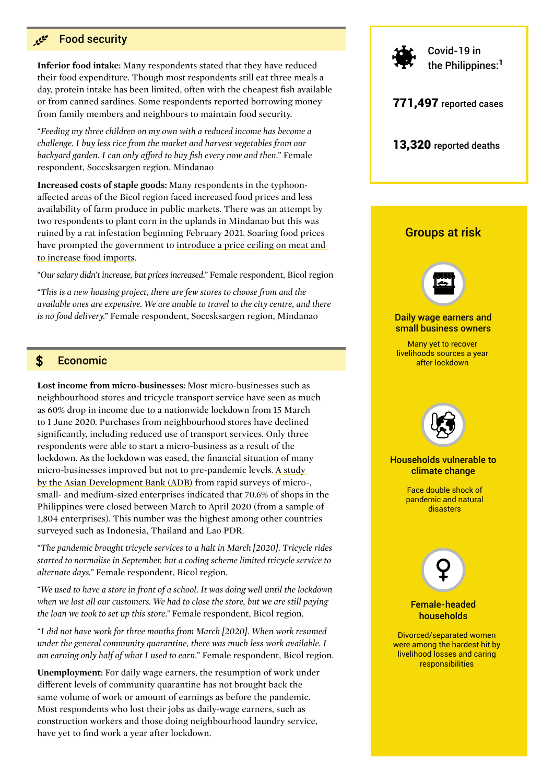#### فيجيم Food security

**Inferior food intake:** Many respondents stated that they have reduced their food expenditure. Though most respondents still eat three meals a day, protein intake has been limited, often with the cheapest fish available or from canned sardines. Some respondents reported borrowing money from family members and neighbours to maintain food security.

*"Feeding my three children on my own with a reduced income has become a challenge. I buy less rice from the market and harvest vegetables from our backyard garden. I can only afford to buy fish every now and then."* Female respondent, Soccsksargen region, Mindanao

**Increased costs of staple goods:** Many respondents in the typhoonaffected areas of the Bicol region faced increased food prices and less availability of farm produce in public markets. There was an attempt by two respondents to plant corn in the uplands in Mindanao but this was ruined by a rat infestation beginning February 2021. Soaring food prices have prompted the government to [introduce a price ceiling on meat and](https://asia.nikkei.com/Economy/Soaring-food-prices-hit-Philippine-consumers-amid-recession)  [to increase food imports](https://asia.nikkei.com/Economy/Soaring-food-prices-hit-Philippine-consumers-amid-recession).

*"Our salary didn't increase, but prices increased."* Female respondent, Bicol region

*"This is a new housing project, there are few stores to choose from and the available ones are expensive. We are unable to travel to the city centre, and there is no food delivery."* Female respondent, Soccsksargen region, Mindanao

#### \$ Economic

**Lost income from micro-businesses:** Most micro-businesses such as neighbourhood stores and tricycle transport service have seen as much as 60% drop in income due to a nationwide lockdown from 15 March to 1 June 2020. Purchases from neighbourhood stores have declined significantly, including reduced use of transport services. Only three respondents were able to start a micro-business as a result of the lockdown. As the lockdown was eased, the financial situation of many micro-businesses improved but not to pre-pandemic levels. [A study](https://www.adb.org/annual-meeting/2020/events/economic-impacts-covid19-asia)  [by the Asian Development Bank \(ADB\)](https://www.adb.org/annual-meeting/2020/events/economic-impacts-covid19-asia) from rapid surveys of micro-, small- and medium-sized enterprises indicated that 70.6% of shops in the Philippines were closed between March to April 2020 (from a sample of 1,804 enterprises). This number was the highest among other countries surveyed such as Indonesia, Thailand and Lao PDR.

*"The pandemic brought tricycle services to a halt in March [2020]. Tricycle rides started to normalise in September, but a coding scheme limited tricycle service to alternate days."* Female respondent, Bicol region.

*"We used to have a store in front of a school. It was doing well until the lockdown when we lost all our customers. We had to close the store, but we are still paying the loan we took to set up this store."* Female respondent, Bicol region.

*"I did not have work for three months from March [2020]. When work resumed under the general community quarantine, there was much less work available. I am earning only half of what I used to earn."* Female respondent, Bicol region.

**Unemployment:** For daily wage earners, the resumption of work under different levels of community quarantine has not brought back the same volume of work or amount of earnings as before the pandemic. Most respondents who lost their jobs as daily-wage earners, such as construction workers and those doing neighbourhood laundry service, have yet to find work a year after lockdown.

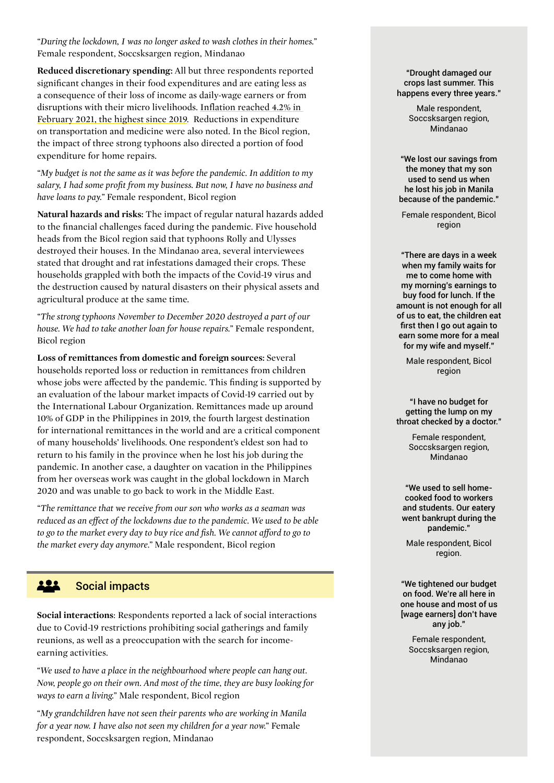*"During the lockdown, I was no longer asked to wash clothes in their homes."* Female respondent, Soccsksargen region, Mindanao

**Reduced discretionary spending:** All but three respondents reported significant changes in their food expenditures and are eating less as a consequence of their loss of income as daily-wage earners or from disruptions with their micro livelihoods. [Inflation reached 4.2% in](https://psa.gov.ph/price-indices/cpi-ir/title/Summary%20Inflation%20Report%20Consumer%20Price%20Index%20%282012%3D100%29%3A%20January%202021)  [February 2021, the highest since 2019.](https://psa.gov.ph/price-indices/cpi-ir/title/Summary%20Inflation%20Report%20Consumer%20Price%20Index%20%282012%3D100%29%3A%20January%202021) Reductions in expenditure on transportation and medicine were also noted. In the Bicol region, the impact of three strong typhoons also directed a portion of food expenditure for home repairs.

*"My budget is not the same as it was before the pandemic. In addition to my salary, I had some profit from my business. But now, I have no business and have loans to pay."* Female respondent, Bicol region

**Natural hazards and risks:** The impact of regular natural hazards added to the financial challenges faced during the pandemic. Five household heads from the Bicol region said that typhoons Rolly and Ulysses destroyed their houses. In the Mindanao area, several interviewees stated that drought and rat infestations damaged their crops. These households grappled with both the impacts of the Covid-19 virus and the destruction caused by natural disasters on their physical assets and agricultural produce at the same time.

*"The strong typhoons November to December 2020 destroyed a part of our house. We had to take another loan for house repairs."* Female respondent, Bicol region

**Loss of remittances from domestic and foreign sources:** Several households reported loss or reduction in remittances from children whose jobs were affected by the pandemic. This finding is supported by [an evaluation of the labour market impacts of Covid-19](https://www.ilo.org/wcmsp5/groups/public/---asia/---ro-bangkok/---ilo-manila/documents/publication/wcms_762209.pdf) carried out by the International Labour Organization. Remittances made up around 10% of GDP in the Philippines in 2019, the fourth largest destination for international remittances in the world and are a critical component of many households' livelihoods. One respondent's eldest son had to return to his family in the province when he lost his job during the pandemic. In another case, a daughter on vacation in the Philippines from her overseas work was caught in the global lockdown in March 2020 and was unable to go back to work in the Middle East.

*"The remittance that we receive from our son who works as a seaman was reduced as an effect of the lockdowns due to the pandemic. We used to be able to go to the market every day to buy rice and fish. We cannot afford to go to the market every day anymore."* Male respondent, Bicol region

#### 222 Social impacts

**Social interactions**: Respondents reported a lack of social interactions due to Covid-19 restrictions prohibiting social gatherings and family reunions, as well as a preoccupation with the search for incomeearning activities.

*"We used to have a place in the neighbourhood where people can hang out. Now, people go on their own. And most of the time, they are busy looking for ways to earn a living."* Male respondent, Bicol region

*"My grandchildren have not seen their parents who are working in Manila for a year now. I have also not seen my children for a year now."* Female respondent, Soccsksargen region, Mindanao

#### "Drought damaged our crops last summer. This happens every three years."

Male respondent, Soccsksargen region. Mindanao

"We lost our savings from the money that my son used to send us when he lost his job in Manila because of the pandemic."

Female respondent, Bicol region

"There are days in a week when my family waits for me to come home with my morning's earnings to buy food for lunch. If the amount is not enough for all of us to eat, the children eat first then I go out again to earn some more for a meal for my wife and myself."

Male respondent, Bicol region

"I have no budget for getting the lump on my throat checked by a doctor."

> Female respondent, Soccsksargen region, Mindanao

"We used to sell homecooked food to workers and students. Our eatery went bankrupt during the pandemic."

Male respondent, Bicol region.

"We tightened our budget on food. We're all here in one house and most of us [wage earners] don't have any job."

Female respondent, Soccsksargen region, Mindanao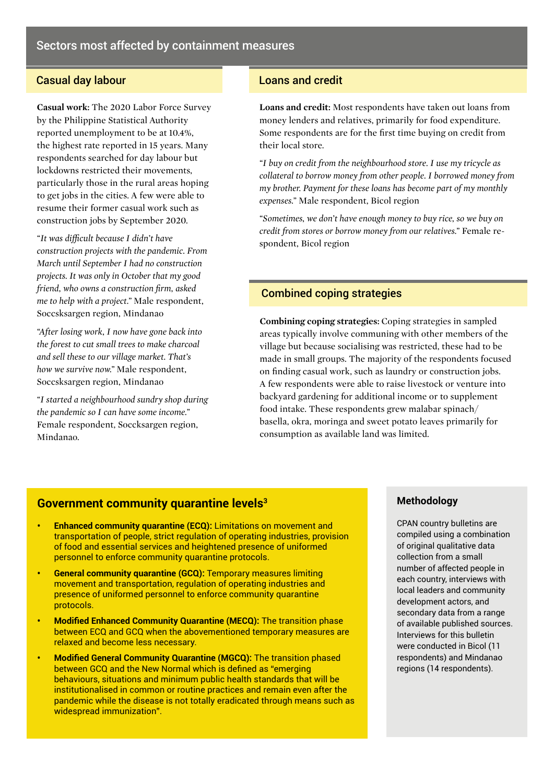## **Casual day labour Loans and credit Casual day labour**

**Casual work:** The [2020 Labor Force Survey](https://psa.gov.ph/statistics/survey/labor-and-employment/labor-force-survey/title/2020 Annual Preliminary Estimates of Labor Force Survey %28LFS%29) by the Philippine Statistical Authority reported unemployment to be at 10.4%, the highest rate reported in 15 years. Many respondents searched for day labour but lockdowns restricted their movements, particularly those in the rural areas hoping to get jobs in the cities. A few were able to resume their former casual work such as construction jobs by September 2020.

*"It was difficult because I didn't have construction projects with the pandemic. From March until September I had no construction projects. It was only in October that my good friend, who owns a construction firm, asked me to help with a project."* Male respondent, Soccsksargen region, Mindanao

*"After losing work, I now have gone back into the forest to cut small trees to make charcoal and sell these to our village market. That's how we survive now."* Male respondent, Soccsksargen region, Mindanao

*"I started a neighbourhood sundry shop during the pandemic so I can have some income."* Female respondent, Soccksargen region, Mindanao.

**Loans and credit:** Most respondents have taken out loans from money lenders and relatives, primarily for food expenditure. Some respondents are for the first time buying on credit from their local store.

*"I buy on credit from the neighbourhood store. I use my tricycle as collateral to borrow money from other people. I borrowed money from my brother. Payment for these loans has become part of my monthly expenses."* Male respondent, Bicol region

*"Sometimes, we don't have enough money to buy rice, so we buy on credit from stores or borrow money from our relatives."* Female respondent, Bicol region

## Combined coping strategies

**Combining coping strategies:** Coping strategies in sampled areas typically involve communing with other members of the village but because socialising was restricted, these had to be made in small groups. The majority of the respondents focused on finding casual work, such as laundry or construction jobs. A few respondents were able to raise livestock or venture into backyard gardening for additional income or to supplement food intake. These respondents grew malabar spinach/ basella, okra, moringa and sweet potato leaves primarily for consumption as available land was limited.

## **Government community quarantine levels3**

- **• Enhanced community quarantine (ECQ):** Limitations on movement and transportation of people, strict regulation of operating industries, provision of food and essential services and heightened presence of uniformed personnel to enforce community quarantine protocols.
- **• General community quarantine (GCQ):** Temporary measures limiting movement and transportation, regulation of operating industries and presence of uniformed personnel to enforce community quarantine protocols.
- **• Modified Enhanced Community Quarantine (MECQ):** The transition phase between ECQ and GCQ when the abovementioned temporary measures are relaxed and become less necessary.
- **• Modified General Community Quarantine (MGCQ):** The transition phased between GCQ and the New Normal which is defined as "emerging behaviours, situations and minimum public health standards that will be institutionalised in common or routine practices and remain even after the pandemic while the disease is not totally eradicated through means such as widespread immunization".

#### **Methodology**

CPAN country bulletins are compiled using a combination of original qualitative data collection from a small number of affected people in each country, interviews with local leaders and community development actors, and secondary data from a range of available published sources. Interviews for this bulletin were conducted in Bicol (11 respondents) and Mindanao regions (14 respondents).